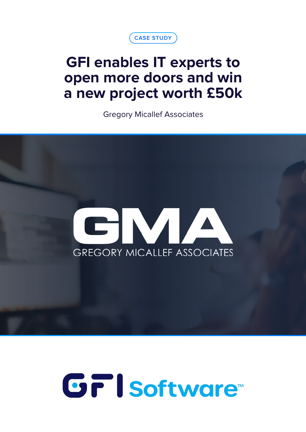

## **GFI enables IT experts to open more doors and win a new project worth £50k**

Gregory Micallef Associates



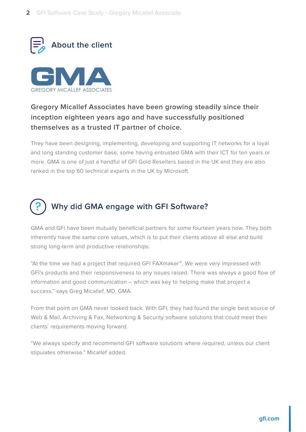



## **Gregory Micallef Associates have been growing steadily since their inception eighteen years ago and have successfully positioned themselves as a trusted IT partner of choice.**

They have been designing, implementing, developing and supporting IT networks for a loyal and long standing customer base, some having entrusted GMA with their ICT for ten years or more. GMA is one of just a handful of GFI Gold Resellers based in the UK and they are also ranked in the top 60 technical experts in the UK by Microsoft.



GMA and GFI have been mutually beneficial partners for some fourteen years now. They both inherently have the same core values, which is to put their clients above all else and build strong long-term and productive relationships.

"At the time we had a project that required GFI FAXmaker™. We were very impressed with GFI's products and their responsiveness to any issues raised. There was always a good flow of information and good communication – which was key to helping make that project a success." says Greg Micallef, MD, GMA.

From that point on GMA never looked back. With GFI, they had found the single best source of Web & Mail, Archiving & Fax, Networking & Security software solutions that could meet their clients' requirements moving forward.

"We always specify and recommend GFI software solutions where required, unless our client stipulates otherwise." Micallef added.